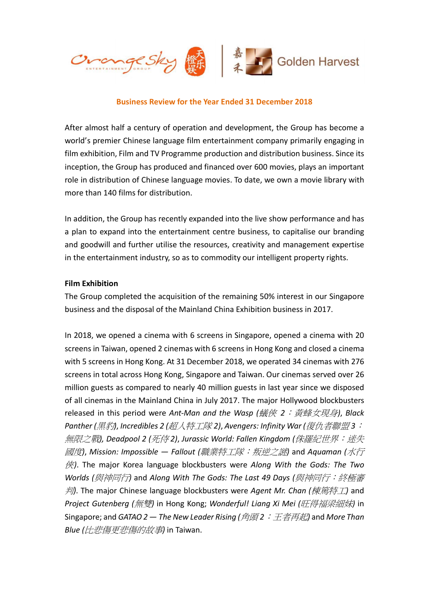

#### Business Review for the Year Ended 31 December 2018

After almost half a century of operation and development, the Group has become a world's premier Chinese language film entertainment company primarily engaging in film exhibition, Film and TV Programme production and distribution business. Since its inception, the Group has produced and financed over 600 movies, plays an important role in distribution of Chinese language movies. To date, we own a movie library with more than 140 films for distribution.

In addition, the Group has recently expanded into the live show performance and has a plan to expand into the entertainment centre business, to capitalise our branding and goodwill and further utilise the resources, creativity and management expertise in the entertainment industry, so as to commodity our intelligent property rights.

#### Film Exhibition

The Group completed the acquisition of the remaining 50% interest in our Singapore business and the disposal of the Mainland China Exhibition business in 2017.

In 2018, we opened a cinema with 6 screens in Singapore, opened a cinema with 20 screens in Taiwan, opened 2 cinemas with 6 screens in Hong Kong and closed a cinema with 5 screens in Hong Kong. At 31 December 2018, we operated 34 cinemas with 276 screens in total across Hong Kong, Singapore and Taiwan. Our cinemas served over 26 million guests as compared to nearly 40 million guests in last year since we disposed of all cinemas in the Mainland China in July 2017. The major Hollywood blockbusters released in this period were Ant-Man and the Wasp (蟻俠 2:黃蜂女現身), Black Panther (黑豹), Incredibles 2 (超人特工隊 2), Avengers: Infinity War (復仇者聯盟 3: 無限之戰), Deadpool 2 (死侍2), Jurassic World: Fallen Kinadom (侏羅紀世界: 迷失 國度), Mission: Impossible — Fallout (職業特工隊:叛逆之謎) and Aquaman (水行  $#$ ). The major Korea language blockbusters were Along With the Gods: The Two Worlds (與神同行) and Along With The Gods: The Last 49 Days (與神同行: 終極審  $#$ . The major Chinese language blockbusters were Agent Mr. Chan (棟篤特工) and Project Gutenberg (無雙) in Hong Kong; Wonderful! Liana Xi Mei (肝得福梁細妹) in Singapore; and GATAO 2 – The New Leader Rising (角頭2: 王者再起) and More Than Blue (比悲傷更悲傷的故事) in Taiwan.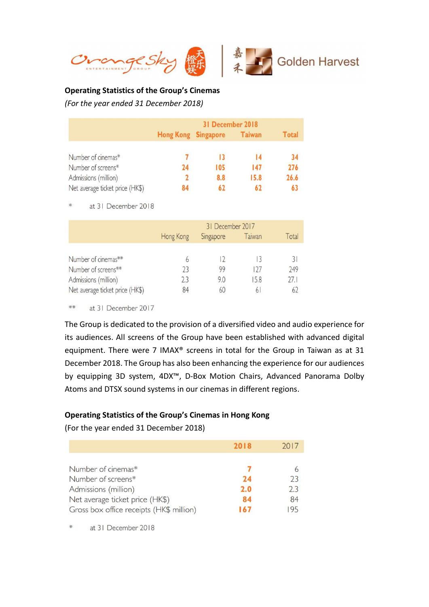



#### Operating Statistics of the Group's Cinemas

(For the year ended 31 December 2018)

|                                 | 31 December 2018 |                     |               |       |
|---------------------------------|------------------|---------------------|---------------|-------|
|                                 |                  | Hong Kong Singapore | <b>Taiwan</b> | Total |
| Number of cinemas*              |                  | 13                  |               | 34    |
| Number of screens*              | 74               | 105                 | 147           | 276   |
| Admissions (million)            |                  | 8.8                 | 15.8          | 26.6  |
| Net average ticket price (HK\$) | X4               | 62                  | 62            |       |

米 at 31 December 2018

|                                 | 31 December 2017 |           |        |       |
|---------------------------------|------------------|-----------|--------|-------|
|                                 | Hong Kong        | Singapore | Taiwan | Total |
|                                 |                  |           |        |       |
| Number of cinemas**             | 6                |           |        | 31    |
| Number of screens**             | 23               | 99        | 127    | 249   |
| Admissions (million)            | 23               | 9.0       | 15.8   | 27.1  |
| Net average ticket price (HK\$) | 84               | 60        | 6      | 62    |

\*\* at 31 December 2017

The Group is dedicated to the provision of a diversified video and audio experience for its audiences. All screens of the Group have been established with advanced digital equipment. There were 7 IMAX® screens in total for the Group in Taiwan as at 31 December 2018. The Group has also been enhancing the experience for our audiences by equipping 3D system, 4DX™, D-Box Motion Chairs, Advanced Panorama Dolby Atoms and DTSX sound systems in our cinemas in different regions.

# Operating Statistics of the Group's Cinemas in Hong Kong

(For the year ended 31 December 2018)

|                                          | 2018 | 2017    |
|------------------------------------------|------|---------|
| Number of cinemas*                       |      |         |
| Number of screens*                       | 24   | 6<br>73 |
| Admissions (million)                     | 2.0  | 73      |
| Net average ticket price (HK\$)          | 84   | 84      |
| Gross box office receipts (HK\$ million) | 167  | 195     |

at 31 December 2018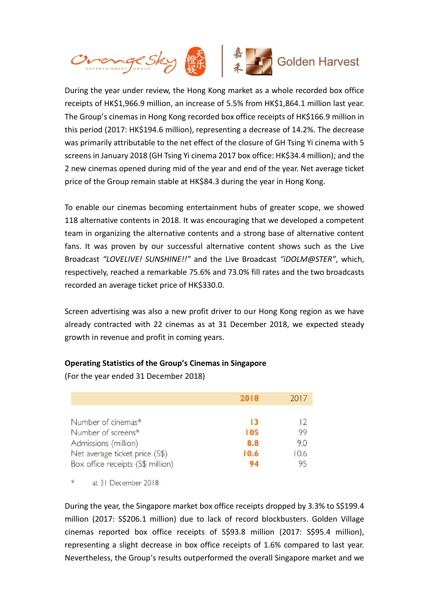

During the year under review, the Hong Kong market as a whole recorded box office receipts of HK\$1,966.9 million, an increase of 5.5% from HK\$1,864.1 million last year. The Group's cinemas in Hong Kong recorded box office receipts of HK\$166.9 million in this period (2017: HK\$194.6 million), representing a decrease of 14.2%. The decrease was primarily attributable to the net effect of the closure of GH Tsing Yi cinema with 5 screens in January 2018 (GH Tsing Yi cinema 2017 box office: HK\$34.4 million); and the 2 new cinemas opened during mid of the year and end of the year. Net average ticket price of the Group remain stable at HK\$84.3 during the year in Hong Kong.

To enable our cinemas becoming entertainment hubs of greater scope, we showed 118 alternative contents in 2018. It was encouraging that we developed a competent team in organizing the alternative contents and a strong base of alternative content fans. It was proven by our successful alternative content shows such as the Live Broadcast "LOVELIVE! SUNSHINE!!" and the Live Broadcast "iDOLM@STER", which, respectively, reached a remarkable 75.6% and 73.0% fill rates and the two broadcasts recorded an average ticket price of HK\$330.0.

Screen advertising was also a new profit driver to our Hong Kong region as we have already contracted with 22 cinemas as at 31 December 2018, we expected steady growth in revenue and profit in coming years.

# Operating Statistics of the Group's Cinemas in Singapore

(For the year ended 31 December 2018)

|                                   | 2018 | 2017    |
|-----------------------------------|------|---------|
| Number of cinemas*                | 13   | $\vert$ |
| Number of screens*                | 105  | 99      |
| Admissions (million)              | 8.8  | 9.0     |
| Net average ticket price (S\$)    | 10.6 | 10.6    |
| Box office receipts (S\$ million) |      | 95      |

\* at 31 December 2018

During the year, the Singapore market box office receipts dropped by 3.3% to S\$199.4 million (2017: S\$206.1 million) due to lack of record blockbusters. Golden Village cinemas reported box office receipts of S\$93.8 million (2017: S\$95.4 million), representing a slight decrease in box office receipts of 1.6% compared to last year. Nevertheless, the Group's results outperformed the overall Singapore market and we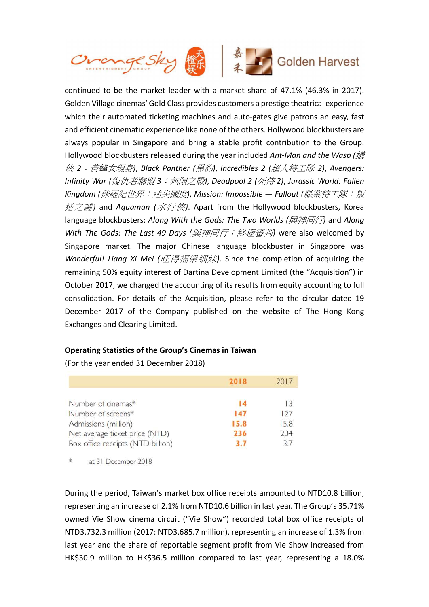

continued to be the market leader with a market share of 47.1% (46.3% in 2017). Golden Village cinemas' Gold Class provides customers a prestige theatrical experience which their automated ticketing machines and auto-gates give patrons an easy, fast and efficient cinematic experience like none of the others. Hollywood blockbusters are always popular in Singapore and bring a stable profit contribution to the Group. Hollywood blockbusters released during the year included Ant-Man and the Wasp ( $\frac{1}{K}$ 俠 2:黃蜂女現身), Black Panther (黑豹), Incredibles 2 (超人特工隊 2), Avengers: Infinity War (復仇者聯盟 3:無限之戰), Deadpool 2 (死侍 2), Jurassic World: Fallen Kingdom (侏羅紀世界: 迷失國度), Mission: Impossible — Fallout (職業特工隊: 叛 逆之謎) and Aquaman (水行俠). Apart from the Hollywood blockbusters, Korea language blockbusters: Along With the Gods: The Two Worlds (與神同行) and Along With The Gods: The Last 49 Days (與神同行: 終極審判) were also welcomed by Singapore market. The major Chinese language blockbuster in Singapore was Wonderful! Liang Xi Mei (旺得福梁細妹). Since the completion of acquiring the remaining 50% equity interest of Dartina Development Limited (the "Acquisition") in October 2017, we changed the accounting of its results from equity accounting to full consolidation. For details of the Acquisition, please refer to the circular dated 19 December 2017 of the Company published on the website of The Hong Kong Exchanges and Clearing Limited.

# Operating Statistics of the Group's Cinemas in Taiwan

(For the year ended 31 December 2018)

|                                   | 2018 | 2017 |
|-----------------------------------|------|------|
| Number of cinemas*                | 14   | 13   |
| Number of screens*                | 147  | 127  |
| Admissions (million)              | 15.8 | 15.8 |
| Net average ticket price (NTD)    | 236  | 234  |
| Box office receipts (NTD billion) | 3.7  | 37   |

\* at 31 December 2018

During the period, Taiwan's market box office receipts amounted to NTD10.8 billion, representing an increase of 2.1% from NTD10.6 billion in last year. The Group's 35.71% owned Vie Show cinema circuit ("Vie Show") recorded total box office receipts of NTD3,732.3 million (2017: NTD3,685.7 million), representing an increase of 1.3% from last year and the share of reportable segment profit from Vie Show increased from HK\$30.9 million to HK\$36.5 million compared to last year, representing a 18.0%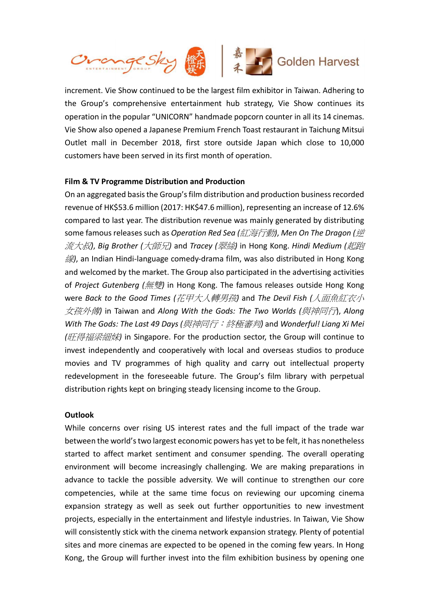

increment. Vie Show continued to be the largest film exhibitor in Taiwan. Adhering to the Group's comprehensive entertainment hub strategy, Vie Show continues its operation in the popular "UNICORN" handmade popcorn counter in all its 14 cinemas. Vie Show also opened a Japanese Premium French Toast restaurant in Taichung Mitsui Outlet mall in December 2018, first store outside Japan which close to 10,000 customers have been served in its first month of operation.

# Film & TV Programme Distribution and Production

On an aggregated basis the Group's film distribution and production business recorded revenue of HK\$53.6 million (2017: HK\$47.6 million), representing an increase of 12.6% compared to last year. The distribution revenue was mainly generated by distributing some famous releases such as Operation Red Sea (紅海行動), Men On The Dragon (逆 流大叔, Big Brother (大師兄) and Tracey (翠絲) in Hong Kong. Hindi Medium (起胸 線), an Indian Hindi-language comedy-drama film, was also distributed in Hong Kong and welcomed by the market. The Group also participated in the advertising activities of Project Gutenberg (無雙) in Hong Kong. The famous releases outside Hong Kong were Back to the Good Times (花甲大人轉男孩) and The Devil Fish (人面魚紅衣小 女孩外傳) in Taiwan and Along With the Gods: The Two Worlds (與神同行), Along With The Gods: The Last 49 Days (與神同行: 終極審判) and Wonderful! Liang Xi Mei (旺得福梁細妹) in Singapore. For the production sector, the Group will continue to invest independently and cooperatively with local and overseas studios to produce movies and TV programmes of high quality and carry out intellectual property redevelopment in the foreseeable future. The Group's film library with perpetual distribution rights kept on bringing steady licensing income to the Group.

#### **Outlook**

While concerns over rising US interest rates and the full impact of the trade war between the world's two largest economic powers has yet to be felt, it has nonetheless started to affect market sentiment and consumer spending. The overall operating environment will become increasingly challenging. We are making preparations in advance to tackle the possible adversity. We will continue to strengthen our core competencies, while at the same time focus on reviewing our upcoming cinema expansion strategy as well as seek out further opportunities to new investment projects, especially in the entertainment and lifestyle industries. In Taiwan, Vie Show will consistently stick with the cinema network expansion strategy. Plenty of potential sites and more cinemas are expected to be opened in the coming few years. In Hong Kong, the Group will further invest into the film exhibition business by opening one